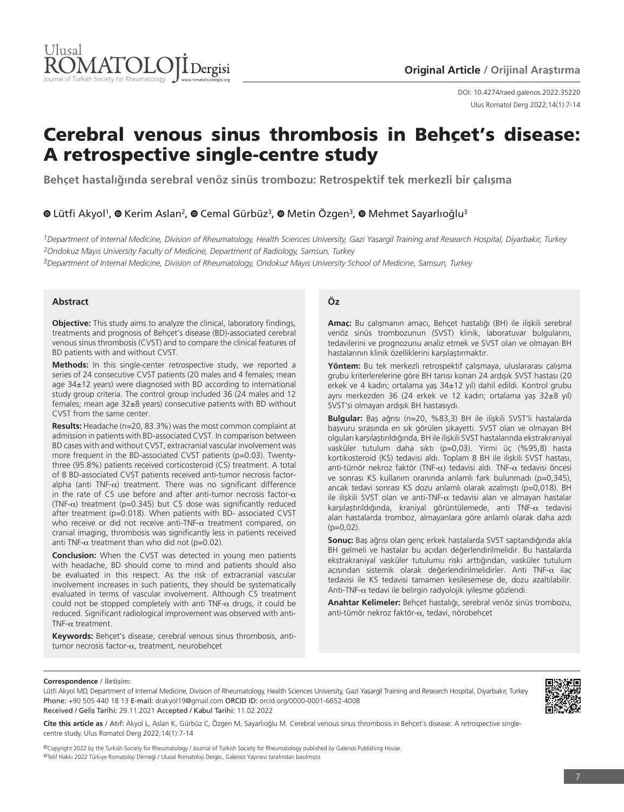

Ulus Romatol Derg 2022;14(1):7-14 DOI: 10.4274/raed.galenos.2022.35220

# Cerebral venous sinus thrombosis in Behçet's disease: A retrospective single-centre study

**Behçet hastalığında serebral venöz sinüs trombozu: Retrospektif tek merkezli bir çalışma**

## **OLütfi Akyol<sup>1</sup>, O Kerim Aslan<sup>2</sup>, O Cemal Gürbüz<sup>3</sup>, O Metin Özgen<sup>3</sup>, O Mehmet Sayarlıoğlu<sup>3</sup>**

*1Department of Internal Medicine, Division of Rheumatology, Health Sciences University, Gazi Yaşargil Training and Research Hospital, Diyarbakır, Turkey 2Ondokuz Mayıs University Faculty of Medicine, Department of Radiology, Samsun, Turkey*

*3Department of Internal Medicine, Division of Rheumatology, Ondokuz Mayıs University School of Medicine, Samsun, Turkey*

## **Abstract**

**Objective:** This study aims to analyze the clinical, laboratory findings, treatments and prognosis of Behçet's disease (BD)-associated cerebral venous sinus thrombosis (CVST) and to compare the clinical features of BD patients with and without CVST.

**Methods:** In this single-center retrospective study, we reported a series of 24 consecutive CVST patients (20 males and 4 females; mean age 34±12 years) were diagnosed with BD according to international study group criteria. The control group included 36 (24 males and 12 females; mean age 32±8 years) consecutive patients with BD without CVST from the same center.

**Results:** Headache (n=20, 83.3%) was the most common complaint at admission in patients with BD-associated CVST. In comparison between BD cases with and without CVST, extracranial vascular involvement was more frequent in the BD-associated CVST patients (p=0.03). Twentythree (95.8%) patients received corticosteroid (CS) treatment. A total of 8 BD-associated CVST patients received anti-tumor necrosis factoralpha (anti TNF- $\alpha$ ) treatment. There was no significant difference in the rate of CS use before and after anti-tumor necrosis factor- $\alpha$ (TNF- $\alpha$ ) treatment (p=0.345) but CS dose was significantly reduced after treatment (p=0.018). When patients with BD- associated CVST who receive or did not receive anti-TNF- $\alpha$  treatment compared, on cranial imaging, thrombosis was significantly less in patients received anti TNF- $\alpha$  treatment than who did not (p=0.02).

**Conclusion:** When the CVST was detected in young men patients with headache, BD should come to mind and patients should also be evaluated in this respect. As the risk of extracranial vascular involvement increases in such patients, they should be systematically evaluated in terms of vascular involvement. Although CS treatment could not be stopped completely with anti TNF- $\alpha$  drugs, it could be reduced. Significant radiological improvement was observed with anti-TNF- $\alpha$  treatment.

**Keywords:** Behçet's disease, cerebral venous sinus thrombosis, antitumor necrosis factor-α, treatment, neurobehçet

#### **Öz**

**Amaç:** Bu çalışmanın amacı, Behçet hastalığı (BH) ile ilişkili serebral venöz sinüs trombozunun (SVST) klinik, laboratuvar bulgularını, tedavilerini ve prognozunu analiz etmek ve SVST olan ve olmayan BH hastalarının klinik özelliklerini karşılaştırmaktır.

**Yöntem:** Bu tek merkezli retrospektif çalışmaya, uluslararası çalışma grubu kriterlerelerine göre BH tanısı konan 24 ardışık SVST hastası (20 erkek ve 4 kadın; ortalama yaş 34±12 yıl) dahil edildi. Kontrol grubu aynı merkezden 36 (24 erkek ve 12 kadın; ortalama yaş 32±8 yıl) SVST'si olmayan ardışık BH hastasıydı.

**Bulgular:** Baş ağrısı (n=20, %83,3) BH ile ilişkili SVST'li hastalarda başvuru sırasında en sık görülen şikayetti. SVST olan ve olmayan BH olguları karşılaştırıldığında, BH ile ilişkili SVST hastalarında ekstrakraniyal vasküler tutulum daha sıktı (p=0,03). Yirmi üç (%95,8) hasta kortikosteroid (KS) tedavisi aldı. Toplam 8 BH ile ilişkili SVST hastası, anti-tümör nekroz faktör (TNF- $\alpha$ ) tedavisi aldı. TNF- $\alpha$  tedavisi öncesi ve sonrası KS kullanım oranında anlamlı fark bulunmadı (p=0,345), ancak tedavi sonrası KS dozu anlamlı olarak azalmıştı (p=0,018). BH ile ilişkili SVST olan ve anti-TNF-α tedavisi alan ve almayan hastalar karşılaştırıldığında, kraniyal görüntülemede, anti TNF-α tedavisi alan hastalarda tromboz, almayanlara göre anlamlı olarak daha azdı  $(p=0,02)$ .

**Sonuç:** Baş ağrısı olan genç erkek hastalarda SVST saptandığında akla BH gelmeli ve hastalar bu açıdan değerlendirilmelidir. Bu hastalarda ekstrakraniyal vasküler tutulumu riski arttığından, vasküler tutulum açısından sistemik olarak değerlendirilmelidirler. Anti TNF-α ilaç tedavisi ile KS tedavisi tamamen kesilesemese de, dozu azaltılabilir. Anti-TNF-α tedavi ile belirgin radyolojik iyileşme gözlendi.

**Anahtar Kelimeler:** Behçet hastalığı, serebral venöz sinüs trombozu, anti-tümör nekroz faktör-α, tedavi, nörobehçet

#### **Correspondence / İletişim:**

Lütfi Akyol MD, Department of Internal Medicine, Division of Rheumatology, Health Sciences University, Gazi Yaşargil Training and Research Hospital, Diyarbakır, Turkey Phone: +90 505 440 18 13 E-mail: drakyol19@gmail.com ORCID ID: orcid.org/0000-0001-6652-4008 Received / Geliş Tarihi: 29.11.2021 Accepted / Kabul Tarihi: 11.02.2022



**Cite this article as / Atıf:** Akyol L, Aslan K, Gürbüz C, Özgen M, Sayarlıoğlu M. Cerebral venous sinus thrombosis in Behçet's disease: A retrospective singlecentre study. Ulus Romatol Derg 2022;14(1):7-14

©Copyright 2022 by the Turkish Society for Rheumatology / Journal of Turkish Society for Rheumatology published by Galenos Publishing House. ©Telif Hakkı 2022 Türkiye Romatoloji Derneği / Ulusal Romatoloji Dergisi, Galenos Yayınevi tarafından basılmıştır.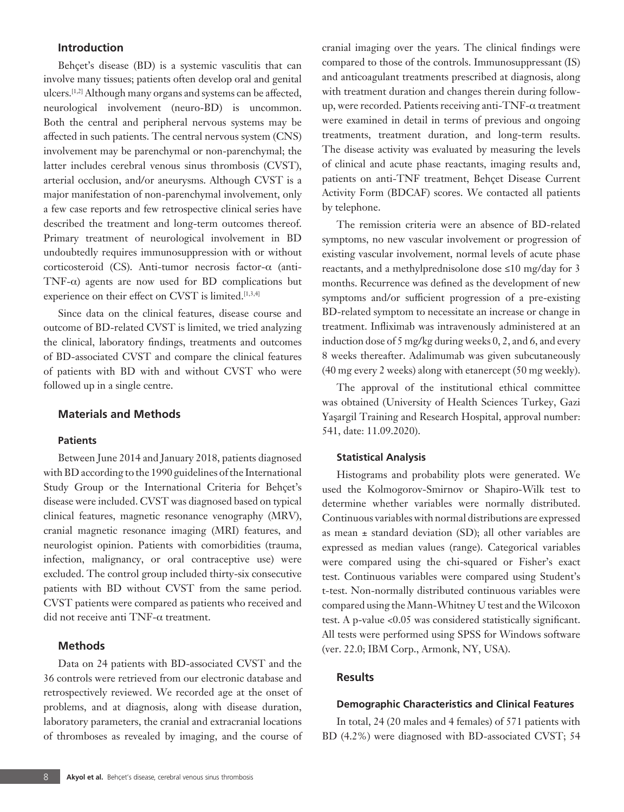## **Introduction**

Behçet's disease (BD) is a systemic vasculitis that can involve many tissues; patients often develop oral and genital ulcers.<sup>[1,2]</sup> Although many organs and systems can be affected, neurological involvement (neuro-BD) is uncommon. Both the central and peripheral nervous systems may be affected in such patients. The central nervous system (CNS) involvement may be parenchymal or non-parenchymal; the latter includes cerebral venous sinus thrombosis (CVST), arterial occlusion, and/or aneurysms. Although CVST is a major manifestation of non-parenchymal involvement, only a few case reports and few retrospective clinical series have described the treatment and long-term outcomes thereof. Primary treatment of neurological involvement in BD undoubtedly requires immunosuppression with or without corticosteroid (CS). Anti-tumor necrosis factor-α (anti-TNF-α) agents are now used for BD complications but experience on their effect on CVST is limited.<sup>[1,3,4]</sup>

Since data on the clinical features, disease course and outcome of BD-related CVST is limited, we tried analyzing the clinical, laboratory findings, treatments and outcomes of BD-associated CVST and compare the clinical features of patients with BD with and without CVST who were followed up in a single centre.

#### **Materials and Methods**

#### **Patients**

Between June 2014 and January 2018, patients diagnosed with BD according to the 1990 guidelines of the International Study Group or the International Criteria for Behçet's disease were included. CVST was diagnosed based on typical clinical features, magnetic resonance venography (MRV), cranial magnetic resonance imaging (MRI) features, and neurologist opinion. Patients with comorbidities (trauma, infection, malignancy, or oral contraceptive use) were excluded. The control group included thirty-six consecutive patients with BD without CVST from the same period. CVST patients were compared as patients who received and did not receive anti TNF-α treatment.

## **Methods**

Data on 24 patients with BD-associated CVST and the 36 controls were retrieved from our electronic database and retrospectively reviewed. We recorded age at the onset of problems, and at diagnosis, along with disease duration, laboratory parameters, the cranial and extracranial locations of thromboses as revealed by imaging, and the course of cranial imaging over the years. The clinical findings were compared to those of the controls. Immunosuppressant (IS) and anticoagulant treatments prescribed at diagnosis, along with treatment duration and changes therein during followup, were recorded. Patients receiving anti-TNF-α treatment were examined in detail in terms of previous and ongoing treatments, treatment duration, and long-term results. The disease activity was evaluated by measuring the levels of clinical and acute phase reactants, imaging results and, patients on anti-TNF treatment, Behçet Disease Current Activity Form (BDCAF) scores. We contacted all patients by telephone.

The remission criteria were an absence of BD-related symptoms, no new vascular involvement or progression of existing vascular involvement, normal levels of acute phase reactants, and a methylprednisolone dose ≤10 mg/day for 3 months. Recurrence was defined as the development of new symptoms and/or sufficient progression of a pre-existing BD-related symptom to necessitate an increase or change in treatment. Infliximab was intravenously administered at an induction dose of 5 mg/kg during weeks 0, 2, and 6, and every 8 weeks thereafter. Adalimumab was given subcutaneously (40 mg every 2 weeks) along with etanercept (50 mg weekly).

The approval of the institutional ethical committee was obtained (University of Health Sciences Turkey, Gazi Yaşargil Training and Research Hospital, approval number: 541, date: 11.09.2020).

#### **Statistical Analysis**

Histograms and probability plots were generated. We used the Kolmogorov-Smirnov or Shapiro-Wilk test to determine whether variables were normally distributed. Continuous variables with normal distributions are expressed as mean  $\pm$  standard deviation (SD); all other variables are expressed as median values (range). Categorical variables were compared using the chi-squared or Fisher's exact test. Continuous variables were compared using Student's t-test. Non-normally distributed continuous variables were compared using the Mann-Whitney U test and the Wilcoxon test. A p-value <0.05 was considered statistically significant. All tests were performed using SPSS for Windows software (ver. 22.0; IBM Corp., Armonk, NY, USA).

## **Results**

## **Demographic Characteristics and Clinical Features**

In total, 24 (20 males and 4 females) of 571 patients with BD (4.2%) were diagnosed with BD-associated CVST; 54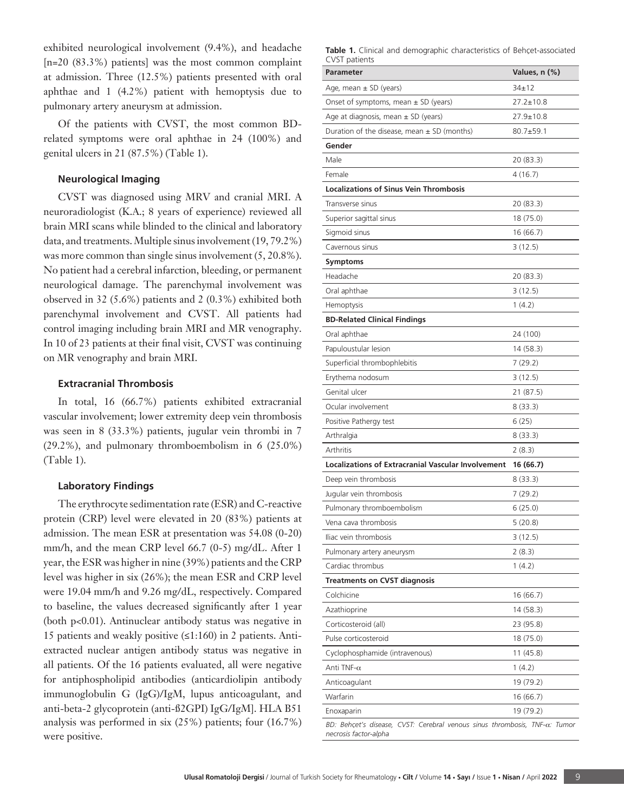exhibited neurological involvement (9.4%), and headache [n=20 (83.3%) patients] was the most common complaint at admission. Three (12.5%) patients presented with oral aphthae and 1 (4.2%) patient with hemoptysis due to pulmonary artery aneurysm at admission.

Of the patients with CVST, the most common BDrelated symptoms were oral aphthae in 24 (100%) and genital ulcers in 21 (87.5%) (Table 1).

## **Neurological Imaging**

CVST was diagnosed using MRV and cranial MRI. A neuroradiologist (K.A.; 8 years of experience) reviewed all brain MRI scans while blinded to the clinical and laboratory data, and treatments. Multiple sinus involvement (19, 79.2%) was more common than single sinus involvement  $(5, 20.8\%)$ . No patient had a cerebral infarction, bleeding, or permanent neurological damage. The parenchymal involvement was observed in 32 (5.6%) patients and 2 (0.3%) exhibited both parenchymal involvement and CVST. All patients had control imaging including brain MRI and MR venography. In 10 of 23 patients at their final visit, CVST was continuing on MR venography and brain MRI.

#### **Extracranial Thrombosis**

In total, 16 (66.7%) patients exhibited extracranial vascular involvement; lower extremity deep vein thrombosis was seen in 8 (33.3%) patients, jugular vein thrombi in 7 (29.2%), and pulmonary thromboembolism in 6 (25.0%) (Table 1).

#### **Laboratory Findings**

The erythrocyte sedimentation rate (ESR) and C-reactive protein (CRP) level were elevated in 20 (83%) patients at admission. The mean ESR at presentation was 54.08 (0-20) mm/h, and the mean CRP level 66.7 (0-5) mg/dL. After 1 year, the ESR was higher in nine (39%) patients and the CRP level was higher in six (26%); the mean ESR and CRP level were 19.04 mm/h and 9.26 mg/dL, respectively. Compared to baseline, the values decreased significantly after 1 year (both p<0.01). Antinuclear antibody status was negative in 15 patients and weakly positive (≤1:160) in 2 patients. Antiextracted nuclear antigen antibody status was negative in all patients. Of the 16 patients evaluated, all were negative for antiphospholipid antibodies (anticardiolipin antibody immunoglobulin G (IgG)/IgM, lupus anticoagulant, and anti-beta-2 glycoprotein (anti-ß2GPI) IgG/IgM]. HLA B51 analysis was performed in six (25%) patients; four (16.7%) were positive.

**Table 1.** Clinical and demographic characteristics of Behçet-associated CVST patients

| vu putititu<br><b>Parameter</b>                                            |                 |
|----------------------------------------------------------------------------|-----------------|
|                                                                            | Values, n (%)   |
| Age, mean $\pm$ SD (years)                                                 | $34 \pm 12$     |
| Onset of symptoms, mean $\pm$ SD (years)                                   | $27.2 \pm 10.8$ |
| Age at diagnosis, mean $\pm$ SD (years)                                    | $27.9 \pm 10.8$ |
| Duration of the disease, mean $\pm$ SD (months)                            | $80.7 + 59.1$   |
| Gender                                                                     |                 |
| Male                                                                       | 20 (83.3)       |
| Female                                                                     | 4(16.7)         |
| <b>Localizations of Sinus Vein Thrombosis</b>                              |                 |
| Transverse sinus                                                           | 20 (83.3)       |
| Superior sagittal sinus                                                    | 18 (75.0)       |
| Sigmoid sinus                                                              | 16(66.7)        |
| Cavernous sinus                                                            | 3(12.5)         |
| <b>Symptoms</b>                                                            |                 |
| Headache                                                                   | 20 (83.3)       |
| Oral aphthae                                                               | 3(12.5)         |
| Hemoptysis                                                                 | 1(4.2)          |
| <b>BD-Related Clinical Findings</b>                                        |                 |
| Oral aphthae                                                               | 24 (100)        |
| Papuloustular lesion                                                       | 14 (58.3)       |
| Superficial thrombophlebitis                                               | 7(29.2)         |
| Erythema nodosum                                                           | 3(12.5)         |
| Genital ulcer                                                              | 21 (87.5)       |
| Ocular involvement                                                         | 8(33.3)         |
| Positive Pathergy test                                                     | 6(25)           |
| Arthralgia                                                                 | 8 (33.3)        |
| Arthritis                                                                  | 2(8.3)          |
| <b>Localizations of Extracranial Vascular Involvement</b>                  | 16 (66.7)       |
| Deep vein thrombosis                                                       | 8 (33.3)        |
| Jugular vein thrombosis                                                    | 7(29.2)         |
| Pulmonary thromboembolism                                                  | 6(25.0)         |
| Vena cava thrombosis                                                       | 5 (20.8)        |
| Iliac vein thrombosis                                                      | 3(12.5)         |
| Pulmonary artery aneurysm                                                  | 2 (8.3)         |
| Cardiac thrombus                                                           | 1(4.2)          |
| <b>Treatments on CVST diagnosis</b>                                        |                 |
| Colchicine                                                                 | 16 (66.7)       |
| Azathioprine                                                               | 14 (58.3)       |
| Corticosteroid (all)                                                       | 23 (95.8)       |
| Pulse corticosteroid                                                       | 18 (75.0)       |
| Cyclophosphamide (intravenous)                                             | 11(45.8)        |
| Anti TNF- $\alpha$                                                         | 1(4.2)          |
| Anticoagulant                                                              | 19 (79.2)       |
| Warfarin                                                                   | 16(66.7)        |
| Enoxaparin                                                                 | 19 (79.2)       |
| BD: Behçet's disease, CVST: Cerebral venous sinus thrombosis, TNF-a: Tumor |                 |
| necrosis factor-alpha                                                      |                 |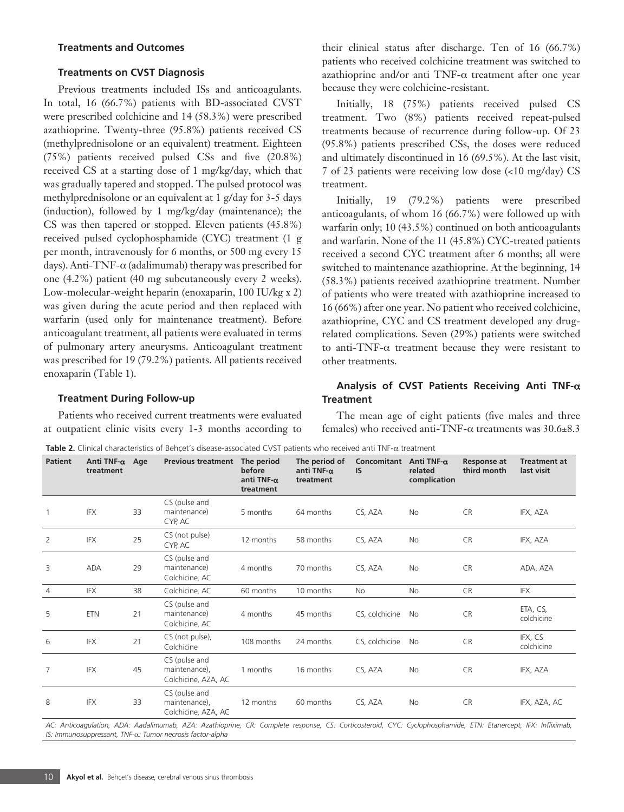#### **Treatments and Outcomes**

#### **Treatments on CVST Diagnosis**

Previous treatments included ISs and anticoagulants. In total, 16 (66.7%) patients with BD-associated CVST were prescribed colchicine and 14 (58.3%) were prescribed azathioprine. Twenty-three (95.8%) patients received CS (methylprednisolone or an equivalent) treatment. Eighteen (75%) patients received pulsed CSs and five (20.8%) received CS at a starting dose of 1 mg/kg/day, which that was gradually tapered and stopped. The pulsed protocol was methylprednisolone or an equivalent at 1 g/day for 3-5 days (induction), followed by 1 mg/kg/day (maintenance); the CS was then tapered or stopped. Eleven patients (45.8%) received pulsed cyclophosphamide (CYC) treatment (1 g per month, intravenously for 6 months, or 500 mg every 15 days). Anti-TNF-α (adalimumab) therapy was prescribed for one (4.2%) patient (40 mg subcutaneously every 2 weeks). Low-molecular-weight heparin (enoxaparin, 100 IU/kg x 2) was given during the acute period and then replaced with warfarin (used only for maintenance treatment). Before anticoagulant treatment, all patients were evaluated in terms of pulmonary artery aneurysms. Anticoagulant treatment was prescribed for 19 (79.2%) patients. All patients received enoxaparin (Table 1).

their clinical status after discharge. Ten of 16 (66.7%) patients who received colchicine treatment was switched to azathioprine and/or anti TNF-α treatment after one year because they were colchicine-resistant.

Initially, 18 (75%) patients received pulsed CS treatment. Two (8%) patients received repeat-pulsed treatments because of recurrence during follow-up. Of 23 (95.8%) patients prescribed CSs, the doses were reduced and ultimately discontinued in 16 (69.5%). At the last visit, 7 of 23 patients were receiving low dose (<10 mg/day) CS treatment.

Initially, 19 (79.2%) patients were prescribed anticoagulants, of whom 16 (66.7%) were followed up with warfarin only; 10 (43.5%) continued on both anticoagulants and warfarin. None of the 11 (45.8%) CYC-treated patients received a second CYC treatment after 6 months; all were switched to maintenance azathioprine. At the beginning, 14 (58.3%) patients received azathioprine treatment. Number of patients who were treated with azathioprine increased to 16 (66%) after one year. No patient who received colchicine, azathioprine, CYC and CS treatment developed any drugrelated complications. Seven (29%) patients were switched to anti-TNF-α treatment because they were resistant to other treatments.

### **Treatment During Follow-up**

Patients who received current treatments were evaluated at outpatient clinic visits every 1-3 months according to

## **Analysis of CVST Patients Receiving Anti TNF-**α **Treatment**

The mean age of eight patients (five males and three females) who received anti-TNF- $\alpha$  treatments was 30.6 $\pm$ 8.3

**Table 2.** Clinical characteristics of Behçet's disease-associated CVST patients who received anti TNF-α treatment

| <b>Patient</b> | Anti TNF-α<br>treatment | Age | <b>Previous treatment</b>                             | The period<br>before<br>anti TNF- $\alpha$<br>treatment | The period of<br>anti TNF- $\alpha$<br>treatment | Concomitant Anti TNF-α<br><b>IS</b> | related<br>complication | <b>Response at</b><br>third month | <b>Treatment at</b><br>last visit |
|----------------|-------------------------|-----|-------------------------------------------------------|---------------------------------------------------------|--------------------------------------------------|-------------------------------------|-------------------------|-----------------------------------|-----------------------------------|
| $\mathbf{1}$   | IFX                     | 33  | CS (pulse and<br>maintenance)<br>CYP, AC              | 5 months                                                | 64 months                                        | CS, AZA                             | No                      | <b>CR</b>                         | IFX, AZA                          |
| 2              | IFX                     | 25  | CS (not pulse)<br>CYP, AC                             | 12 months                                               | 58 months                                        | CS, AZA                             | No                      | <b>CR</b>                         | IFX, AZA                          |
| 3              | <b>ADA</b>              | 29  | CS (pulse and<br>maintenance)<br>Colchicine, AC       | 4 months                                                | 70 months                                        | CS, AZA                             | No                      | <b>CR</b>                         | ADA, AZA                          |
| $\overline{4}$ | <b>IFX</b>              | 38  | Colchicine, AC                                        | 60 months                                               | 10 months                                        | No                                  | No                      | <b>CR</b>                         | IFX                               |
| 5              | <b>ETN</b>              | 21  | CS (pulse and<br>maintenance)<br>Colchicine, AC       | 4 months                                                | 45 months                                        | CS, colchicine                      | No                      | <b>CR</b>                         | ETA, CS,<br>colchicine            |
| 6              | <b>IFX</b>              | 21  | CS (not pulse),<br>Colchicine                         | 108 months                                              | 24 months                                        | CS, colchicine                      | No                      | CR                                | IFX, CS<br>colchicine             |
| $\overline{7}$ | <b>IFX</b>              | 45  | CS (pulse and<br>maintenance),<br>Colchicine, AZA, AC | 1 months                                                | 16 months                                        | CS, AZA                             | No                      | <b>CR</b>                         | IFX, AZA                          |
| 8              | IFX                     | 33  | CS (pulse and<br>maintenance),<br>Colchicine, AZA, AC | 12 months                                               | 60 months                                        | CS, AZA                             | No                      | <b>CR</b>                         | IFX, AZA, AC                      |

*AC: Anticoagulation, ADA: Aadalimumab, AZA: Azathioprine, CR: Complete response, CS: Corticosteroid, CYC: Cyclophosphamide, ETN: Etanercept, IFX: Infliximab, IS: Immunosuppressant, TNF-*α*: Tumor necrosis factor-alpha*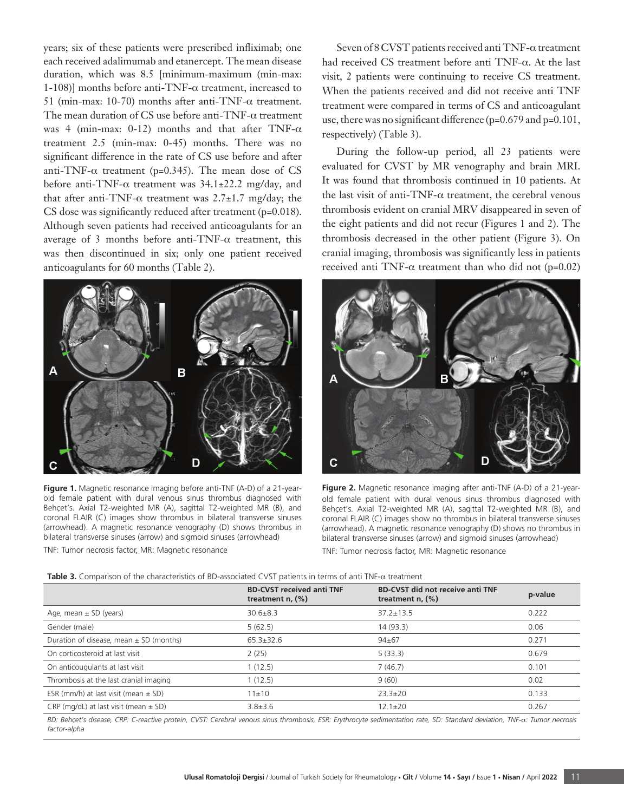years; six of these patients were prescribed infliximab; one each received adalimumab and etanercept. The mean disease duration, which was 8.5 [minimum-maximum (min-max: 1-108)] months before anti-TNF- $\alpha$  treatment, increased to 51 (min-max: 10-70) months after anti-TNF- $\alpha$  treatment. The mean duration of CS use before anti-TNF-α treatment was 4 (min-max: 0-12) months and that after TNF- $\alpha$ treatment 2.5 (min-max: 0-45) months. There was no significant difference in the rate of CS use before and after anti-TNF- $\alpha$  treatment (p=0.345). The mean dose of CS before anti-TNF- $\alpha$  treatment was 34.1±22.2 mg/day, and that after anti-TNF- $\alpha$  treatment was 2.7±1.7 mg/day; the CS dose was significantly reduced after treatment (p=0.018). Although seven patients had received anticoagulants for an average of 3 months before anti-TNF- $\alpha$  treatment, this was then discontinued in six; only one patient received anticoagulants for 60 months (Table 2).



**Figure 1.** Magnetic resonance imaging before anti-TNF (A-D) of a 21-yearold female patient with dural venous sinus thrombus diagnosed with Behçet's. Axial T2-weighted MR (A), sagittal T2-weighted MR (B), and coronal FLAIR (C) images show thrombus in bilateral transverse sinuses (arrowhead). A magnetic resonance venography (D) shows thrombus in bilateral transverse sinuses (arrow) and sigmoid sinuses (arrowhead) TNF: Tumor necrosis factor, MR: Magnetic resonance

Seven of 8 CVST patients received anti TNF-α treatment had received CS treatment before anti TNF-α. At the last visit, 2 patients were continuing to receive CS treatment. When the patients received and did not receive anti TNF treatment were compared in terms of CS and anticoagulant use, there was no significant difference (p=0.679 and p=0.101, respectively) (Table 3).

During the follow-up period, all 23 patients were evaluated for CVST by MR venography and brain MRI. It was found that thrombosis continued in 10 patients. At the last visit of anti-TNF- $\alpha$  treatment, the cerebral venous thrombosis evident on cranial MRV disappeared in seven of the eight patients and did not recur (Figures 1 and 2). The thrombosis decreased in the other patient (Figure 3). On cranial imaging, thrombosis was significantly less in patients received anti TNF- $\alpha$  treatment than who did not (p=0.02)



**Figure 2.** Magnetic resonance imaging after anti-TNF (A-D) of a 21-yearold female patient with dural venous sinus thrombus diagnosed with Behçet's. Axial T2-weighted MR (A), sagittal T2-weighted MR (B), and coronal FLAIR (C) images show no thrombus in bilateral transverse sinuses (arrowhead). A magnetic resonance venography (D) shows no thrombus in bilateral transverse sinuses (arrow) and sigmoid sinuses (arrowhead) TNF: Tumor necrosis factor, MR: Magnetic resonance

**Table 3.** Comparison of the characteristics of BD-associated CVST patients in terms of anti TNF-α treatment

|                                             | <b>BD-CVST received anti TNF</b><br>treatment $n$ , $(\%)$ | <b>BD-CVST did not receive anti TNF</b><br>treatment $n$ , $(\%)$ | p-value |
|---------------------------------------------|------------------------------------------------------------|-------------------------------------------------------------------|---------|
| Age, mean $\pm$ SD (years)                  | $30.6 \pm 8.3$                                             | $37.2 \pm 13.5$                                                   | 0.222   |
| Gender (male)                               | 5(62.5)                                                    | 14(93.3)                                                          | 0.06    |
| Duration of disease, mean $\pm$ SD (months) | $65.3 \pm 32.6$                                            | $94 + 67$                                                         | 0.271   |
| On corticosteroid at last visit             | 2(25)                                                      | 5(33.3)                                                           | 0.679   |
| On anticougulants at last visit             | 1(12.5)                                                    | 7(46.7)                                                           | 0.101   |
| Thrombosis at the last cranial imaging      | 1(12.5)                                                    | 9(60)                                                             | 0.02    |
| ESR (mm/h) at last visit (mean $\pm$ SD)    | 11±10                                                      | $23.3 \pm 20$                                                     | 0.133   |
| CRP (mg/dL) at last visit (mean $\pm$ SD)   | $3.8 \pm 3.6$                                              | $12.1 \pm 20$                                                     | 0.267   |

*BD: Behçet's disease, CRP: C-reactive protein, CVST: Cerebral venous sinus thrombosis, ESR: Erythrocyte sedimentation rate, SD: Standard deviation, TNF-*α*: Tumor necrosis factor-alpha*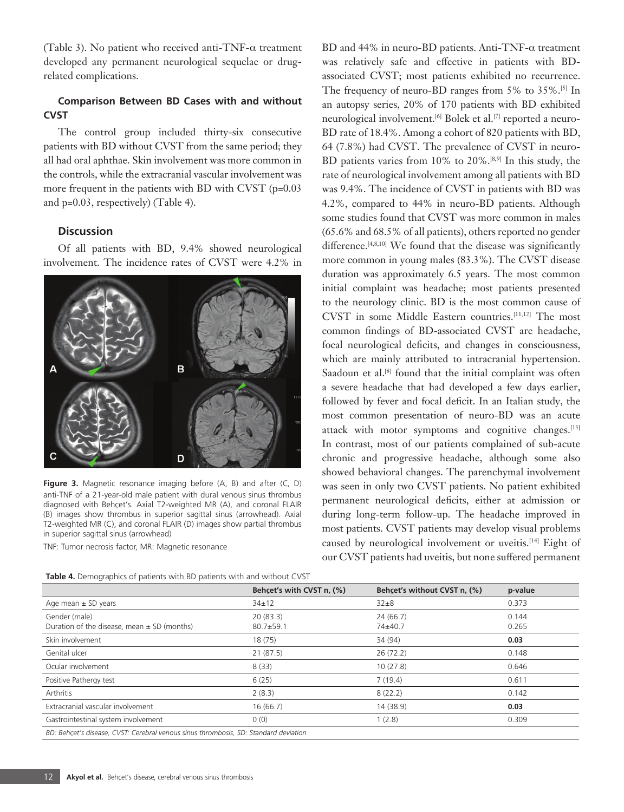(Table 3). No patient who received anti-TNF- $\alpha$  treatment developed any permanent neurological sequelae or drugrelated complications.

## **Comparison Between BD Cases with and without CVST**

The control group included thirty-six consecutive patients with BD without CVST from the same period; they all had oral aphthae. Skin involvement was more common in the controls, while the extracranial vascular involvement was more frequent in the patients with BD with CVST (p=0.03 and p=0.03, respectively) (Table 4).

## **Discussion**

Of all patients with BD, 9.4% showed neurological involvement. The incidence rates of CVST were 4.2% in



**Figure 3.** Magnetic resonance imaging before (A, B) and after (C, D) anti-TNF of a 21-year-old male patient with dural venous sinus thrombus diagnosed with Behçet's. Axial T2-weighted MR (A), and coronal FLAIR (B) images show thrombus in superior sagittal sinus (arrowhead). Axial T2-weighted MR (C), and coronal FLAIR (D) images show partial thrombus in superior sagittal sinus (arrowhead)

TNF: Tumor necrosis factor, MR: Magnetic resonance

**Table 4.** Demographics of patients with BD patients with and without CVST

BD and 44% in neuro-BD patients. Anti-TNF-α treatment was relatively safe and effective in patients with BDassociated CVST; most patients exhibited no recurrence. The frequency of neuro-BD ranges from 5% to 35%.[5] In an autopsy series, 20% of 170 patients with BD exhibited neurological involvement.[6] Bolek et al.[7] reported a neuro-BD rate of 18.4%. Among a cohort of 820 patients with BD, 64 (7.8%) had CVST. The prevalence of CVST in neuro-BD patients varies from 10% to 20%.[8,9] In this study, the rate of neurological involvement among all patients with BD was 9.4%. The incidence of CVST in patients with BD was 4.2%, compared to 44% in neuro-BD patients. Although some studies found that CVST was more common in males (65.6% and 68.5% of all patients), others reported no gender difference.<sup>[4,8,10]</sup> We found that the disease was significantly more common in young males (83.3%). The CVST disease duration was approximately 6.5 years. The most common initial complaint was headache; most patients presented to the neurology clinic. BD is the most common cause of CVST in some Middle Eastern countries.[11,12] The most common findings of BD-associated CVST are headache, focal neurological deficits, and changes in consciousness, which are mainly attributed to intracranial hypertension. Saadoun et al.<sup>[8]</sup> found that the initial complaint was often a severe headache that had developed a few days earlier, followed by fever and focal deficit. In an Italian study, the most common presentation of neuro-BD was an acute attack with motor symptoms and cognitive changes.<sup>[13]</sup> In contrast, most of our patients complained of sub-acute chronic and progressive headache, although some also showed behavioral changes. The parenchymal involvement was seen in only two CVST patients. No patient exhibited permanent neurological deficits, either at admission or during long-term follow-up. The headache improved in most patients. CVST patients may develop visual problems caused by neurological involvement or uveitis.[14] Eight of our CVST patients had uveitis, but none suffered permanent

|                                                                                      | Behcet's with CVST n, (%) | Behcet's without CVST n, (%) | p-value        |  |  |
|--------------------------------------------------------------------------------------|---------------------------|------------------------------|----------------|--|--|
| Age mean $\pm$ SD years                                                              | $34 \pm 12$               | $32\pm8$                     | 0.373          |  |  |
| Gender (male)<br>Duration of the disease, mean $\pm$ SD (months)                     | 20(83.3)<br>$80.7 + 59.1$ | 24(66.7)<br>74±40.7          | 0.144<br>0.265 |  |  |
| Skin involvement                                                                     | 18(75)                    | 34 (94)                      | 0.03           |  |  |
| Genital ulcer                                                                        | 21(87.5)                  | 26(72.2)                     | 0.148          |  |  |
| Ocular involvement                                                                   | 8(33)                     | 10(27.8)                     | 0.646          |  |  |
| Positive Pathergy test                                                               | 6(25)                     | 7(19.4)                      | 0.611          |  |  |
| Arthritis                                                                            | 2(8.3)                    | 8(22.2)                      | 0.142          |  |  |
| Extracranial vascular involvement                                                    | 16(66.7)                  | 14 (38.9)                    | 0.03           |  |  |
| Gastrointestinal system involvement                                                  | 0(0)                      | 1(2.8)                       | 0.309          |  |  |
| BD: Behcet's disease, CVST: Cerebral venous sinus thrombosis, SD: Standard deviation |                           |                              |                |  |  |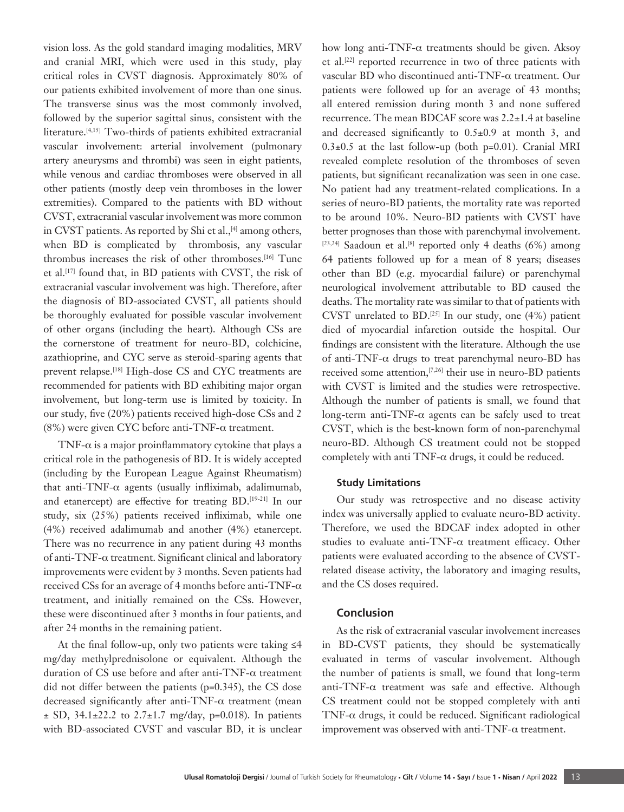vision loss. As the gold standard imaging modalities, MRV and cranial MRI, which were used in this study, play critical roles in CVST diagnosis. Approximately 80% of our patients exhibited involvement of more than one sinus. The transverse sinus was the most commonly involved, followed by the superior sagittal sinus, consistent with the literature.<sup>[4,15]</sup> Two-thirds of patients exhibited extracranial vascular involvement: arterial involvement (pulmonary artery aneurysms and thrombi) was seen in eight patients, while venous and cardiac thromboses were observed in all other patients (mostly deep vein thromboses in the lower extremities). Compared to the patients with BD without CVST, extracranial vascular involvement was more common in CVST patients. As reported by Shi et al., $[4]$  among others, when BD is complicated by thrombosis, any vascular thrombus increases the risk of other thromboses.[16] Tunc et al.[17] found that, in BD patients with CVST, the risk of extracranial vascular involvement was high. Therefore, after the diagnosis of BD-associated CVST, all patients should be thoroughly evaluated for possible vascular involvement of other organs (including the heart). Although CSs are the cornerstone of treatment for neuro-BD, colchicine, azathioprine, and CYC serve as steroid-sparing agents that prevent relapse.[18] High-dose CS and CYC treatments are recommended for patients with BD exhibiting major organ involvement, but long-term use is limited by toxicity. In our study, five (20%) patients received high-dose CSs and 2 (8%) were given CYC before anti-TNF-α treatment.

TNF- $\alpha$  is a major proinflammatory cytokine that plays a critical role in the pathogenesis of BD. It is widely accepted (including by the European League Against Rheumatism) that anti-TNF-α agents (usually infliximab, adalimumab, and etanercept) are effective for treating BD.[19-21] In our study, six (25%) patients received infliximab, while one (4%) received adalimumab and another (4%) etanercept. There was no recurrence in any patient during 43 months of anti-TNF-α treatment. Significant clinical and laboratory improvements were evident by 3 months. Seven patients had received CSs for an average of 4 months before anti-TNF-α treatment, and initially remained on the CSs. However, these were discontinued after 3 months in four patients, and after 24 months in the remaining patient.

At the final follow-up, only two patients were taking ≤4 mg/day methylprednisolone or equivalent. Although the duration of CS use before and after anti-TNF-α treatment did not differ between the patients (p=0.345), the CS dose decreased significantly after anti-TNF-α treatment (mean  $\pm$  SD, 34.1 $\pm$ 22.2 to 2.7 $\pm$ 1.7 mg/day, p=0.018). In patients with BD-associated CVST and vascular BD, it is unclear how long anti-TNF- $\alpha$  treatments should be given. Aksoy et al.[22] reported recurrence in two of three patients with vascular BD who discontinued anti-TNF-α treatment. Our patients were followed up for an average of 43 months; all entered remission during month 3 and none suffered recurrence. The mean BDCAF score was 2.2±1.4 at baseline and decreased significantly to 0.5±0.9 at month 3, and  $0.3\pm0.5$  at the last follow-up (both p=0.01). Cranial MRI revealed complete resolution of the thromboses of seven patients, but significant recanalization was seen in one case. No patient had any treatment-related complications. In a series of neuro-BD patients, the mortality rate was reported to be around 10%. Neuro-BD patients with CVST have better prognoses than those with parenchymal involvement.  $[23,24]$  Saadoun et al.<sup>[8]</sup> reported only 4 deaths (6%) among 64 patients followed up for a mean of 8 years; diseases other than BD (e.g. myocardial failure) or parenchymal neurological involvement attributable to BD caused the deaths. The mortality rate was similar to that of patients with CVST unrelated to BD.<sup>[25]</sup> In our study, one  $(4%)$  patient died of myocardial infarction outside the hospital. Our findings are consistent with the literature. Although the use of anti-TNF- $\alpha$  drugs to treat parenchymal neuro-BD has received some attention,<sup>[7,26]</sup> their use in neuro-BD patients with CVST is limited and the studies were retrospective. Although the number of patients is small, we found that long-term anti-TNF- $\alpha$  agents can be safely used to treat CVST, which is the best-known form of non-parenchymal neuro-BD. Although CS treatment could not be stopped completely with anti TNF- $\alpha$  drugs, it could be reduced.

## **Study Limitations**

Our study was retrospective and no disease activity index was universally applied to evaluate neuro-BD activity. Therefore, we used the BDCAF index adopted in other studies to evaluate anti-TNF- $\alpha$  treatment efficacy. Other patients were evaluated according to the absence of CVSTrelated disease activity, the laboratory and imaging results, and the CS doses required.

## **Conclusion**

As the risk of extracranial vascular involvement increases in BD-CVST patients, they should be systematically evaluated in terms of vascular involvement. Although the number of patients is small, we found that long-term anti-TNF-α treatment was safe and effective. Although CS treatment could not be stopped completely with anti TNF- $\alpha$  drugs, it could be reduced. Significant radiological improvement was observed with anti-TNF-α treatment.